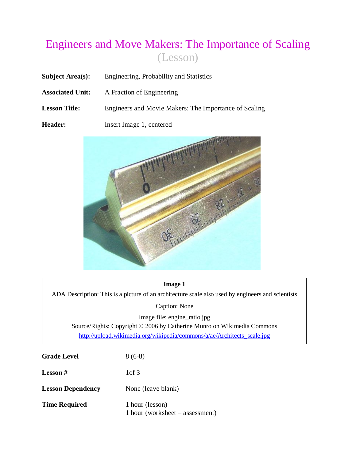# Engineers and Move Makers: The Importance of Scaling (Lesson)

- **Associated Unit:** A Fraction of Engineering
- **Lesson Title:** Engineers and Movie Makers: The Importance of Scaling

**Header:** Insert Image 1, centered



#### **Image 1**

ADA Description: This is a picture of an architecture scale also used by engineers and scientists

Caption: None

Image file: engine\_ratio.jpg Source/Rights: Copyright © 2006 by Catherine Munro on Wikimedia Commons

[http://upload.wikimedia.org/wikipedia/commons/a/ae/Architects\\_scale.jpg](http://upload.wikimedia.org/wikipedia/commons/a/ae/Architects_scale.jpg)

| <b>Grade Level</b>       | $8(6-8)$                                             |
|--------------------------|------------------------------------------------------|
| <b>Lesson</b> #          | 1 of 3                                               |
| <b>Lesson Dependency</b> | None (leave blank)                                   |
| <b>Time Required</b>     | 1 hour (lesson)<br>$1 hour (worksheet - assessment)$ |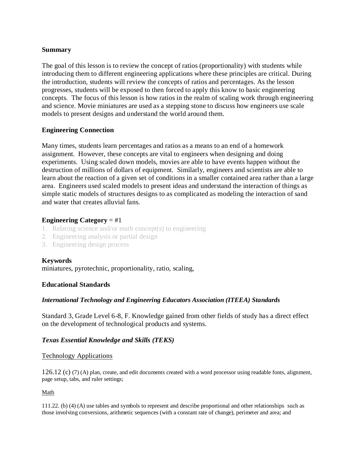# **Summary**

The goal of this lesson is to review the concept of ratios (proportionality) with students while introducing them to different engineering applications where these principles are critical. During the introduction, students will review the concepts of ratios and percentages. As the lesson progresses, students will be exposed to then forced to apply this know to basic engineering concepts. The focus of this lesson is how ratios in the realm of scaling work through engineering and science. Movie miniatures are used as a stepping stone to discuss how engineers use scale models to present designs and understand the world around them.

# **Engineering Connection**

Many times, students learn percentages and ratios as a means to an end of a homework assignment. However, these concepts are vital to engineers when designing and doing experiments. Using scaled down models, movies are able to have events happen without the destruction of millions of dollars of equipment. Similarly, engineers and scientists are able to learn about the reaction of a given set of conditions in a smaller contained area rather than a large area. Engineers used scaled models to present ideas and understand the interaction of things as simple static models of structures designs to as complicated as modeling the interaction of sand and water that creates alluvial fans.

# **Engineering Category** = #1

- 1. Relating science and/or math concept(s) to engineering
- 2. Engineering analysis or partial design
- 3. Engineering design process

# **Keywords**

miniatures, pyrotechnic, proportionality, ratio, scaling,

# **Educational Standards**

# *International Technology and Engineering Educators Association (ITEEA) Standards*

Standard 3, Grade Level 6-8, F. Knowledge gained from other fields of study has a direct effect on the development of technological products and systems.

# *Texas Essential Knowledge and Skills (TEKS)*

# Technology Applications

 $126.12$  (c) (7) (A) plan, create, and edit documents created with a word processor using readable fonts, alignment, page setup, tabs, and ruler settings;

#### Math

111.22. (b) (4) (A) use tables and symbols to represent and describe proportional and other relationships such as those involving conversions, arithmetic sequences (with a constant rate of change), perimeter and area; and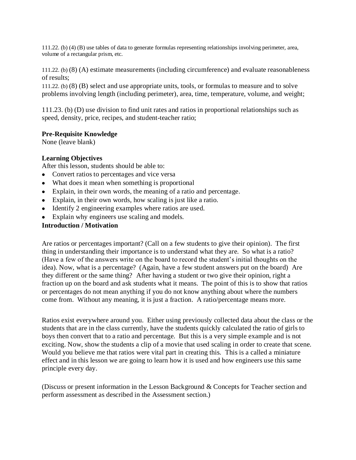111.22. (b) (4) (B) use tables of data to generate formulas representing relationships involving perimeter, area, volume of a rectangular prism, etc.

111.22. (b) (8) (A) estimate measurements (including circumference) and evaluate reasonableness of results;

111.22. (b) (8) (B) select and use appropriate units, tools, or formulas to measure and to solve problems involving length (including perimeter), area, time, temperature, volume, and weight;

111.23. (b) (D) use division to find unit rates and ratios in proportional relationships such as speed, density, price, recipes, and student-teacher ratio;

#### **Pre-Requisite Knowledge**

None (leave blank)

#### **Learning Objectives**

After this lesson, students should be able to:

- Convert ratios to percentages and vice versa
- What does it mean when something is proportional
- Explain, in their own words, the meaning of a ratio and percentage.
- Explain, in their own words, how scaling is just like a ratio.
- Identify 2 engineering examples where ratios are used.
- Explain why engineers use scaling and models.

# **Introduction / Motivation**

Are ratios or percentages important? (Call on a few students to give their opinion). The first thing in understanding their importance is to understand what they are. So what is a ratio? (Have a few of the answers write on the board to record the student's initial thoughts on the idea). Now, what is a percentage? (Again, have a few student answers put on the board) Are they different or the same thing? After having a student or two give their opinion, right a fraction up on the board and ask students what it means. The point of this is to show that ratios or percentages do not mean anything if you do not know anything about where the numbers come from. Without any meaning, it is just a fraction. A ratio/percentage means more.

Ratios exist everywhere around you. Either using previously collected data about the class or the students that are in the class currently, have the students quickly calculated the ratio of girls to boys then convert that to a ratio and percentage. But this is a very simple example and is not exciting. Now, show the students a clip of a movie that used scaling in order to create that scene. Would you believe me that ratios were vital part in creating this. This is a called a miniature effect and in this lesson we are going to learn how it is used and how engineers use this same principle every day.

(Discuss or present information in the Lesson Background & Concepts for Teacher section and perform assessment as described in the Assessment section.)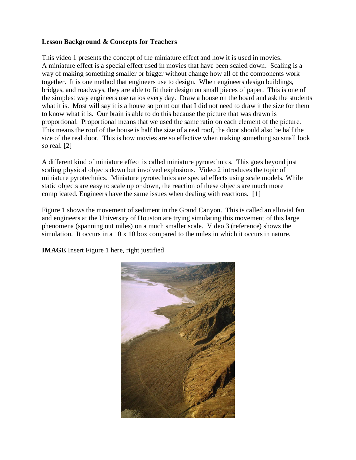# **Lesson Background & Concepts for Teachers**

This video 1 presents the concept of the miniature effect and how it is used in movies. A miniature effect is a special effect used in movies that have been scaled down. Scaling is a way of making something smaller or bigger without change how all of the components work together. It is one method that engineers use to design. When engineers design buildings, bridges, and roadways, they are able to fit their design on small pieces of paper. This is one of the simplest way engineers use ratios every day. Draw a house on the board and ask the students what it is. Most will say it is a house so point out that I did not need to draw it the size for them to know what it is. Our brain is able to do this because the picture that was drawn is proportional. Proportional means that we used the same ratio on each element of the picture. This means the roof of the house is half the size of a real roof, the door should also be half the size of the real door. This is how movies are so effective when making something so small look so real. [2]

A different kind of miniature effect is called miniature pyrotechnics. This goes beyond just scaling physical objects down but involved explosions. Video 2 introduces the topic of miniature pyrotechnics. Miniature pyrotechnics are special effects using scale models. While static objects are easy to scale up or down, the reaction of these objects are much more complicated. Engineers have the same issues when dealing with reactions. [1]

Figure 1 shows the movement of sediment in the Grand Canyon. This is called an alluvial fan and engineers at the University of Houston are trying simulating this movement of this large phenomena (spanning out miles) on a much smaller scale. Video 3 (reference) shows the simulation. It occurs in a 10 x 10 box compared to the miles in which it occurs in nature.

**IMAGE** Insert Figure 1 here, right justified

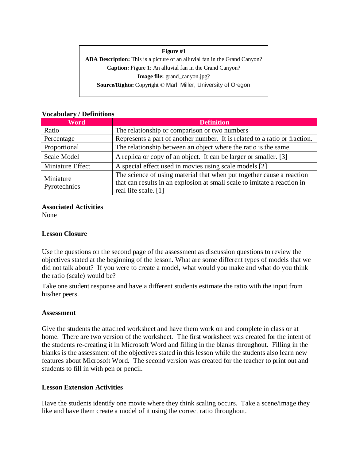# **Figure #1**

**ADA Description:** This is a picture of an alluvial fan in the Grand Canyon? **Caption:** Figure 1: An alluvial fan in the Grand Canyon? **Image file:** grand\_canyon.jpg? **Source/Rights:** Copyright © Marli Miller, University of Oregon

| <b>Word</b>               | <b>Definition</b>                                                                                                                                                         |
|---------------------------|---------------------------------------------------------------------------------------------------------------------------------------------------------------------------|
| Ratio                     | The relationship or comparison or two numbers                                                                                                                             |
| Percentage                | Represents a part of another number. It is related to a ratio or fraction.                                                                                                |
| Proportional              | The relationship between an object where the ratio is the same.                                                                                                           |
| Scale Model               | A replica or copy of an object. It can be larger or smaller. [3]                                                                                                          |
| Miniature Effect          | A special effect used in movies using scale models [2]                                                                                                                    |
| Miniature<br>Pyrotechnics | The science of using material that when put together cause a reaction<br>that can results in an explosion at small scale to imitate a reaction in<br>real life scale. [1] |

# **Vocabulary / Definitions**

# **Associated Activities**

None

# **Lesson Closure**

Use the questions on the second page of the assessment as discussion questions to review the objectives stated at the beginning of the lesson. What are some different types of models that we did not talk about? If you were to create a model, what would you make and what do you think the ratio (scale) would be?

Take one student response and have a different students estimate the ratio with the input from his/her peers.

# **Assessment**

Give the students the attached worksheet and have them work on and complete in class or at home. There are two version of the worksheet. The first worksheet was created for the intent of the students re-creating it in Microsoft Word and filling in the blanks throughout. Filling in the blanks is the assessment of the objectives stated in this lesson while the students also learn new features about Microsoft Word. The second version was created for the teacher to print out and students to fill in with pen or pencil.

# **Lesson Extension Activities**

Have the students identify one movie where they think scaling occurs. Take a scene/image they like and have them create a model of it using the correct ratio throughout.